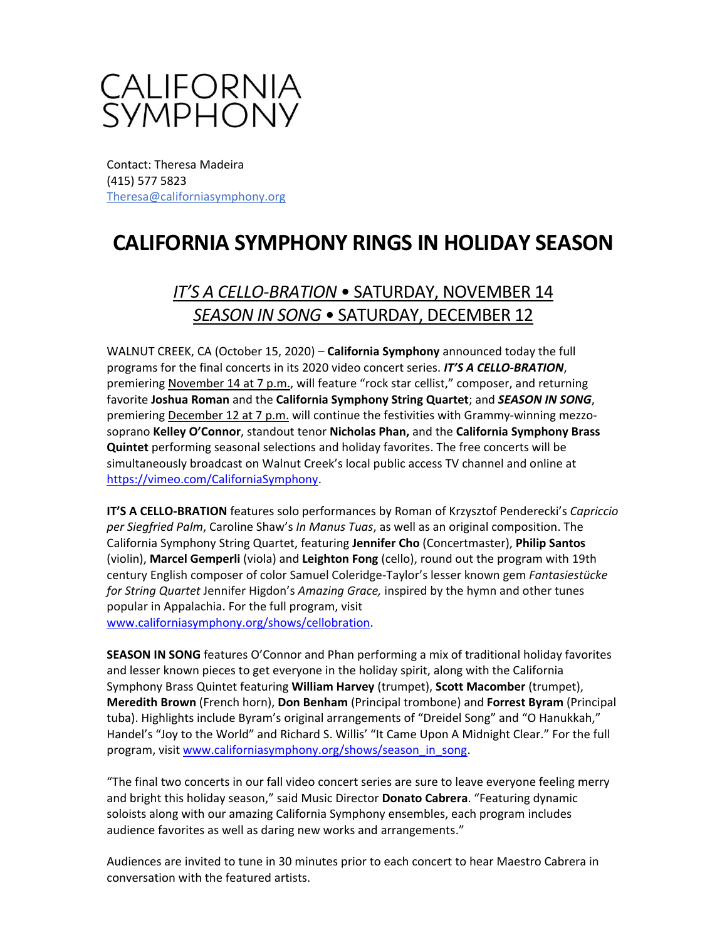

Contact: Theresa Madeira (415) 577 5823 [Theresa@californiasymphony.org](mailto:Theresa@californiasymphony.org)

## **CALIFORNIA SYMPHONY RINGS IN HOLIDAY SEASON**

## *IT'S A CELLO-BRATION* • SATURDAY, NOVEMBER 14 *SEASON IN SONG* • SATURDAY, DECEMBER 12

WALNUT CREEK, CA (October 15, 2020) – **California Symphony** announced today the full programs for the final concerts in its 2020 video concert series. *IT'S A CELLO-BRATION*, premiering November 14 at 7 p.m., will feature "rock star cellist," composer, and returning favorite **Joshua Roman** and the **California Symphony String Quartet**; and *SEASON IN SONG*, premiering December 12 at 7 p.m. will continue the festivities with Grammy-winning mezzosoprano **Kelley O'Connor**, standout tenor **Nicholas Phan,** and the **California Symphony Brass Quintet** performing seasonal selections and holiday favorites. The free concerts will be simultaneously broadcast on Walnut Creek's local public access TV channel and online at [https://vimeo.com/CaliforniaSymphony.](https://vimeo.com/CaliforniaSymphony)

**IT'S A CELLO-BRATION** features solo performances by Roman of Krzysztof Penderecki's *Capriccio per Siegfried Palm*, Caroline Shaw's *In Manus Tuas*, as well as an original composition. The California Symphony String Quartet, featuring **Jennifer Cho** (Concertmaster), **Philip Santos** (violin), **Marcel Gemperli** (viola) and **Leighton Fong** (cello), round out the program with 19th century English composer of color Samuel Coleridge-Taylor's lesser known gem *Fantasiestücke for String Quartet* Jennifer Higdon's *Amazing Grace,* inspired by the hymn and other tunes popular in Appalachia. For the full program, visit

[www.californiasymphony.org/shows/cellobration.](https://www.californiasymphony.org/shows/cellobration/)

**SEASON IN SONG** features O'Connor and Phan performing a mix of traditional holiday favorites and lesser known pieces to get everyone in the holiday spirit, along with the California Symphony Brass Quintet featuring **William Harvey** (trumpet), **Scott Macomber** (trumpet), **Meredith Brown** (French horn), **Don Benham** (Principal trombone) and **Forrest Byram** (Principal tuba). Highlights include Byram's original arrangements of "Dreidel Song" and "O Hanukkah," Handel's "Joy to the World" and Richard S. Willis' "It Came Upon A Midnight Clear." For the full program, visit [www.californiasymphony.org/shows/season\\_in\\_song.](https://www.californiasymphony.org/shows/season_in_song/)

"The final two concerts in our fall video concert series are sure to leave everyone feeling merry and bright this holiday season," said Music Director **Donato Cabrera**. "Featuring dynamic soloists along with our amazing California Symphony ensembles, each program includes audience favorites as well as daring new works and arrangements."

Audiences are invited to tune in 30 minutes prior to each concert to hear Maestro Cabrera in conversation with the featured artists.